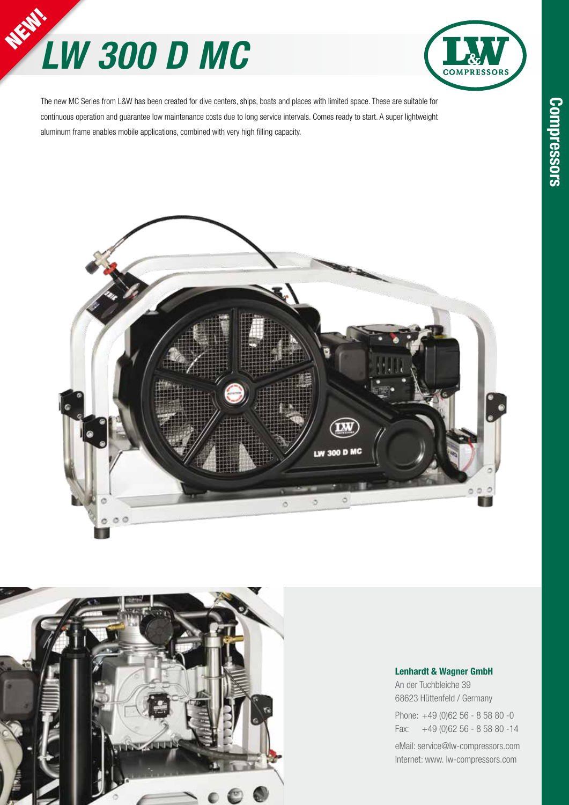# *LW 300 D MC* NEW!



The new MC Series from L&W has been created for dive centers, ships, boats and places with limited space. These are suitable for continuous operation and guarantee low maintenance costs due to long service intervals. Comes ready to start. A super lightweight aluminum frame enables mobile applications, combined with very high filling capacity.





#### **Lenhardt & Wagner GmbH**

An der Tuchbleiche 39 68623 Hüttenfeld / Germany

Phone: +49 (0)62 56 - 8 58 80 -0 Fax: +49 (0)62 56 - 8 58 80 -14

eMail: service@lw-compressors.com Internet: www. lw-compressors.com